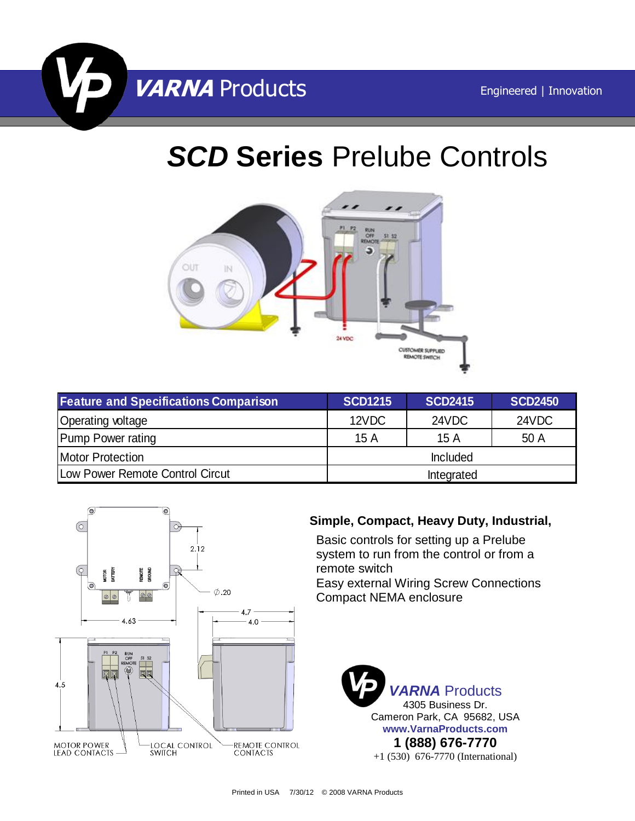

# *SCD* **Series** Prelube Controls



| <b>Feature and Specifications Comparison</b> | <b>SCD1215</b> | <b>SCD2415</b> | <b>SCD2450</b> |
|----------------------------------------------|----------------|----------------|----------------|
| <b>Operating voltage</b>                     | 12VDC          | 24VDC          | 24VDC          |
| <b>Pump Power rating</b>                     | 15A            | 15A            | 50 A           |
| <b>Motor Protection</b>                      | Included       |                |                |
| Low Power Remote Control Circut              | Integrated     |                |                |



### **Simple, Compact, Heavy Duty, Industrial,**

Basic controls for setting up a Prelube system to run from the control or from a remote switch Easy external Wiring Screw Connections Compact NEMA enclosure

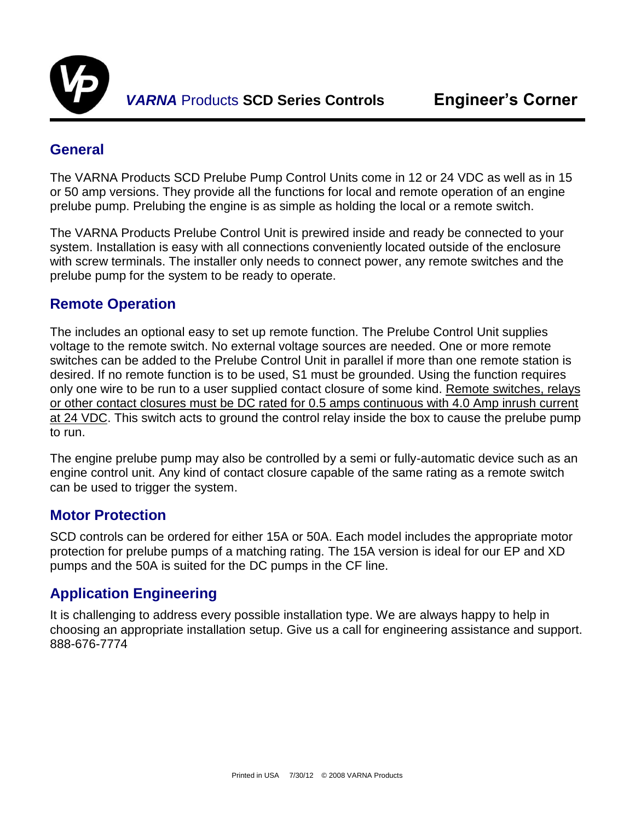

#### **General**

The VARNA Products SCD Prelube Pump Control Units come in 12 or 24 VDC as well as in 15 or 50 amp versions. They provide all the functions for local and remote operation of an engine prelube pump. Prelubing the engine is as simple as holding the local or a remote switch.

The VARNA Products Prelube Control Unit is prewired inside and ready be connected to your system. Installation is easy with all connections conveniently located outside of the enclosure with screw terminals. The installer only needs to connect power, any remote switches and the prelube pump for the system to be ready to operate.

#### **Remote Operation**

The includes an optional easy to set up remote function. The Prelube Control Unit supplies voltage to the remote switch. No external voltage sources are needed. One or more remote switches can be added to the Prelube Control Unit in parallel if more than one remote station is desired. If no remote function is to be used, S1 must be grounded. Using the function requires only one wire to be run to a user supplied contact closure of some kind. Remote switches, relays or other contact closures must be DC rated for 0.5 amps continuous with 4.0 Amp inrush current at 24 VDC. This switch acts to ground the control relay inside the box to cause the prelube pump to run.

The engine prelube pump may also be controlled by a semi or fully-automatic device such as an engine control unit. Any kind of contact closure capable of the same rating as a remote switch can be used to trigger the system.

#### **Motor Protection**

SCD controls can be ordered for either 15A or 50A. Each model includes the appropriate motor protection for prelube pumps of a matching rating. The 15A version is ideal for our EP and XD pumps and the 50A is suited for the DC pumps in the CF line.

#### **Application Engineering**

It is challenging to address every possible installation type. We are always happy to help in choosing an appropriate installation setup. Give us a call for engineering assistance and support. 888-676-7774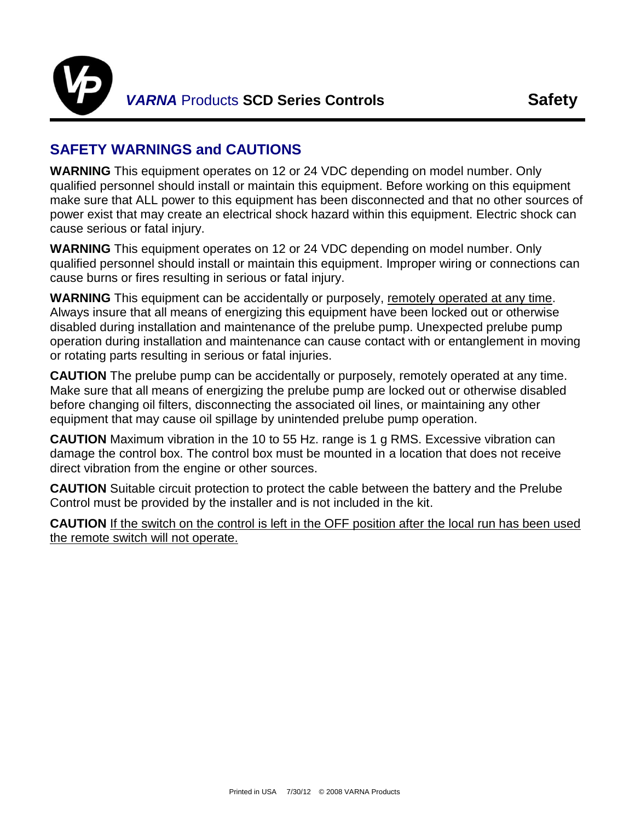

## **SAFETY WARNINGS and CAUTIONS**

**WARNING** This equipment operates on 12 or 24 VDC depending on model number. Only qualified personnel should install or maintain this equipment. Before working on this equipment make sure that ALL power to this equipment has been disconnected and that no other sources of power exist that may create an electrical shock hazard within this equipment. Electric shock can cause serious or fatal injury.

**WARNING** This equipment operates on 12 or 24 VDC depending on model number. Only qualified personnel should install or maintain this equipment. Improper wiring or connections can cause burns or fires resulting in serious or fatal injury.

**WARNING** This equipment can be accidentally or purposely, remotely operated at any time. Always insure that all means of energizing this equipment have been locked out or otherwise disabled during installation and maintenance of the prelube pump. Unexpected prelube pump operation during installation and maintenance can cause contact with or entanglement in moving or rotating parts resulting in serious or fatal injuries.

**CAUTION** The prelube pump can be accidentally or purposely, remotely operated at any time. Make sure that all means of energizing the prelube pump are locked out or otherwise disabled before changing oil filters, disconnecting the associated oil lines, or maintaining any other equipment that may cause oil spillage by unintended prelube pump operation.

**CAUTION** Maximum vibration in the 10 to 55 Hz. range is 1 g RMS. Excessive vibration can damage the control box. The control box must be mounted in a location that does not receive direct vibration from the engine or other sources.

**CAUTION** Suitable circuit protection to protect the cable between the battery and the Prelube Control must be provided by the installer and is not included in the kit.

**CAUTION** If the switch on the control is left in the OFF position after the local run has been used the remote switch will not operate.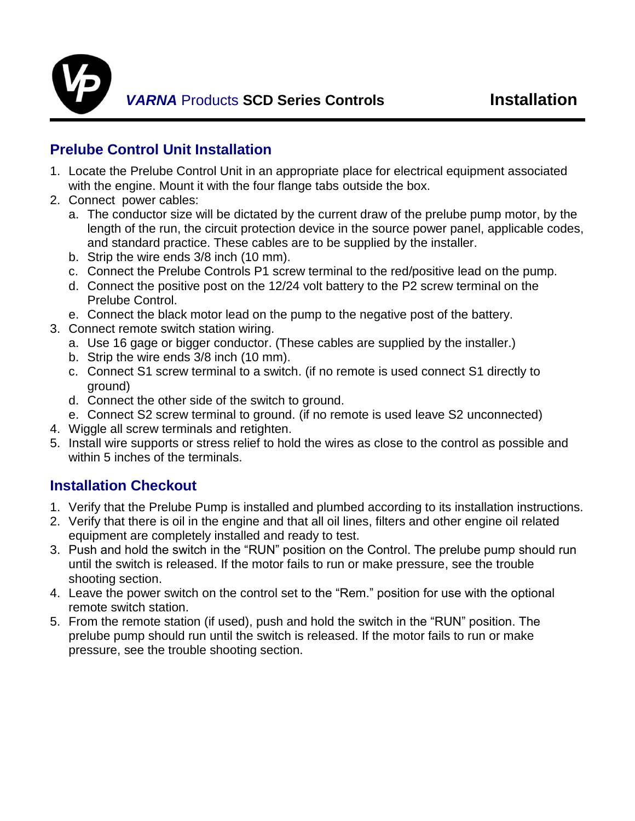

# **Prelube Control Unit Installation**

- 1. Locate the Prelube Control Unit in an appropriate place for electrical equipment associated with the engine. Mount it with the four flange tabs outside the box.
- 2. Connect power cables:
	- a. The conductor size will be dictated by the current draw of the prelube pump motor, by the length of the run, the circuit protection device in the source power panel, applicable codes, and standard practice. These cables are to be supplied by the installer.
	- b. Strip the wire ends 3/8 inch (10 mm).
	- c. Connect the Prelube Controls P1 screw terminal to the red/positive lead on the pump.
	- d. Connect the positive post on the 12/24 volt battery to the P2 screw terminal on the Prelube Control.
	- e. Connect the black motor lead on the pump to the negative post of the battery.
- 3. Connect remote switch station wiring.
	- a. Use 16 gage or bigger conductor. (These cables are supplied by the installer.)
	- b. Strip the wire ends 3/8 inch (10 mm).
	- c. Connect S1 screw terminal to a switch. (if no remote is used connect S1 directly to ground)
	- d. Connect the other side of the switch to ground.
	- e. Connect S2 screw terminal to ground. (if no remote is used leave S2 unconnected)
- 4. Wiggle all screw terminals and retighten.
- 5. Install wire supports or stress relief to hold the wires as close to the control as possible and within 5 inches of the terminals.

# **Installation Checkout**

- 1. Verify that the Prelube Pump is installed and plumbed according to its installation instructions.
- 2. Verify that there is oil in the engine and that all oil lines, filters and other engine oil related equipment are completely installed and ready to test.
- 3. Push and hold the switch in the "RUN" position on the Control. The prelube pump should run until the switch is released. If the motor fails to run or make pressure, see the trouble shooting section.
- 4. Leave the power switch on the control set to the "Rem." position for use with the optional remote switch station.
- 5. From the remote station (if used), push and hold the switch in the "RUN" position. The prelube pump should run until the switch is released. If the motor fails to run or make pressure, see the trouble shooting section.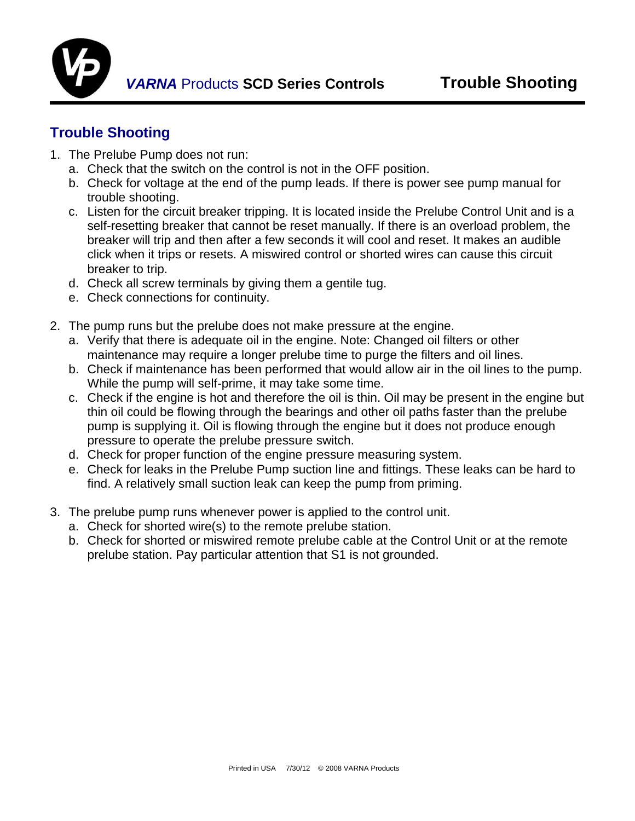

## **Trouble Shooting**

- 1. The Prelube Pump does not run:
	- a. Check that the switch on the control is not in the OFF position.
	- b. Check for voltage at the end of the pump leads. If there is power see pump manual for trouble shooting.
	- c. Listen for the circuit breaker tripping. It is located inside the Prelube Control Unit and is a self-resetting breaker that cannot be reset manually. If there is an overload problem, the breaker will trip and then after a few seconds it will cool and reset. It makes an audible click when it trips or resets. A miswired control or shorted wires can cause this circuit breaker to trip.
	- d. Check all screw terminals by giving them a gentile tug.
	- e. Check connections for continuity.
- 2. The pump runs but the prelube does not make pressure at the engine.
	- a. Verify that there is adequate oil in the engine. Note: Changed oil filters or other maintenance may require a longer prelube time to purge the filters and oil lines.
	- b. Check if maintenance has been performed that would allow air in the oil lines to the pump. While the pump will self-prime, it may take some time.
	- c. Check if the engine is hot and therefore the oil is thin. Oil may be present in the engine but thin oil could be flowing through the bearings and other oil paths faster than the prelube pump is supplying it. Oil is flowing through the engine but it does not produce enough pressure to operate the prelube pressure switch.
	- d. Check for proper function of the engine pressure measuring system.
	- e. Check for leaks in the Prelube Pump suction line and fittings. These leaks can be hard to find. A relatively small suction leak can keep the pump from priming.
- 3. The prelube pump runs whenever power is applied to the control unit.
	- a. Check for shorted wire(s) to the remote prelube station.
	- b. Check for shorted or miswired remote prelube cable at the Control Unit or at the remote prelube station. Pay particular attention that S1 is not grounded.